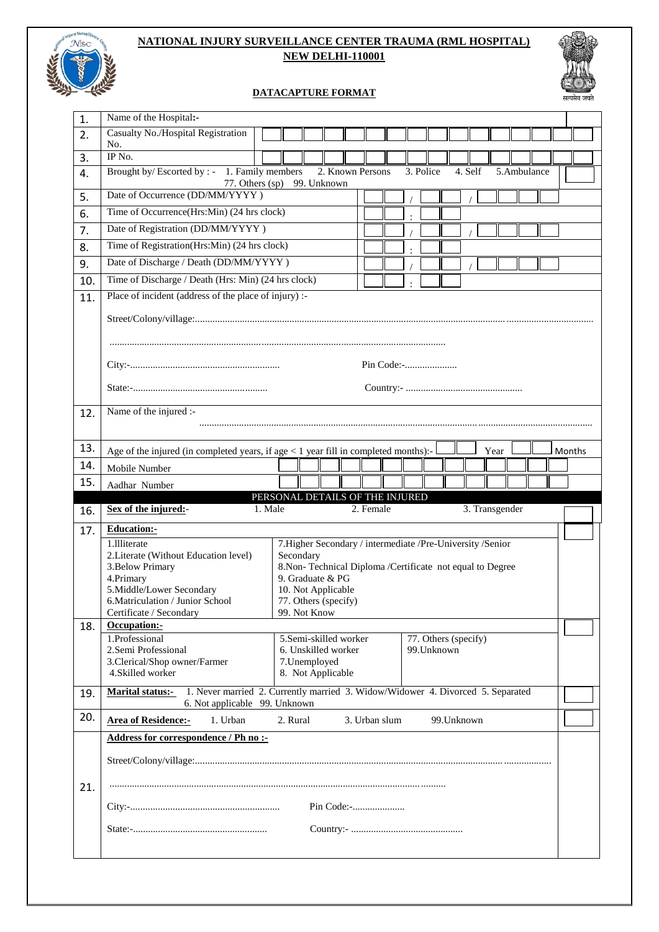

## **NATIONAL INJURY SURVEILLANCE CENTER TRAUMA (RML HOSPITAL) NEW DELHI-110001**

## **DATACAPTURE FORMAT**



| 1.                                     | Name of the Hospital:-                                                                                                                  |                                                                                 |               |  |                      |  |             |      |                |  |  |        |
|----------------------------------------|-----------------------------------------------------------------------------------------------------------------------------------------|---------------------------------------------------------------------------------|---------------|--|----------------------|--|-------------|------|----------------|--|--|--------|
| 2.                                     | Casualty No./Hospital Registration<br>No.                                                                                               |                                                                                 |               |  |                      |  |             |      |                |  |  |        |
| 3.                                     | IP No.                                                                                                                                  |                                                                                 |               |  |                      |  |             |      |                |  |  |        |
| 4.                                     | Brought by/Escorted by : - 1. Family members<br>2. Known Persons<br>3. Police<br>4. Self<br>5. Ambulance<br>77. Others (sp) 99. Unknown |                                                                                 |               |  |                      |  |             |      |                |  |  |        |
| 5.                                     | Date of Occurrence (DD/MM/YYYY)                                                                                                         |                                                                                 |               |  |                      |  |             |      |                |  |  |        |
| 6.                                     | Time of Occurrence(Hrs:Min) (24 hrs clock)                                                                                              |                                                                                 |               |  |                      |  |             |      |                |  |  |        |
| 7.                                     | Date of Registration (DD/MM/YYYY)                                                                                                       |                                                                                 |               |  |                      |  |             |      |                |  |  |        |
| 8.                                     | Time of Registration(Hrs:Min) (24 hrs clock)                                                                                            |                                                                                 |               |  |                      |  |             |      |                |  |  |        |
| 9.                                     | Date of Discharge / Death (DD/MM/YYYY)                                                                                                  |                                                                                 |               |  |                      |  |             |      |                |  |  |        |
| 10.                                    | Time of Discharge / Death (Hrs: Min) (24 hrs clock)                                                                                     |                                                                                 |               |  |                      |  |             |      |                |  |  |        |
| 11.                                    | Place of incident (address of the place of injury) :-                                                                                   |                                                                                 |               |  |                      |  |             |      |                |  |  |        |
|                                        |                                                                                                                                         |                                                                                 |               |  |                      |  |             |      |                |  |  |        |
|                                        |                                                                                                                                         |                                                                                 |               |  |                      |  |             |      |                |  |  |        |
|                                        |                                                                                                                                         |                                                                                 |               |  |                      |  |             |      |                |  |  |        |
|                                        |                                                                                                                                         |                                                                                 |               |  |                      |  |             |      |                |  |  |        |
| 12.                                    | Name of the injured :-                                                                                                                  |                                                                                 |               |  |                      |  |             |      |                |  |  |        |
|                                        |                                                                                                                                         |                                                                                 |               |  |                      |  |             |      |                |  |  |        |
|                                        |                                                                                                                                         |                                                                                 |               |  |                      |  |             |      |                |  |  |        |
| 13.                                    | Age of the injured (in completed years, if age $<$ 1 year fill in completed months):-                                                   |                                                                                 |               |  |                      |  |             | Year |                |  |  | Months |
| 14.                                    | Mobile Number                                                                                                                           |                                                                                 |               |  |                      |  |             |      |                |  |  |        |
| 15.                                    | Aadhar Number                                                                                                                           |                                                                                 |               |  |                      |  |             |      |                |  |  |        |
|                                        |                                                                                                                                         |                                                                                 |               |  |                      |  |             |      |                |  |  |        |
|                                        | Sex of the injured:-                                                                                                                    | PERSONAL DETAILS OF THE INJURED<br>1. Male                                      | 2. Female     |  |                      |  |             |      | 3. Transgender |  |  |        |
|                                        | <b>Education:-</b>                                                                                                                      |                                                                                 |               |  |                      |  |             |      |                |  |  |        |
|                                        | 1.111iterate                                                                                                                            | 7. Higher Secondary / intermediate /Pre-University /Senior                      |               |  |                      |  |             |      |                |  |  |        |
|                                        | 2. Literate (Without Education level)                                                                                                   | Secondary                                                                       |               |  |                      |  |             |      |                |  |  |        |
|                                        | 3. Below Primary                                                                                                                        | 8. Non-Technical Diploma /Certificate not equal to Degree                       |               |  |                      |  |             |      |                |  |  |        |
|                                        | 4.Primary<br>5.Middle/Lower Secondary                                                                                                   | 9. Graduate & PG<br>10. Not Applicable                                          |               |  |                      |  |             |      |                |  |  |        |
|                                        | 6. Matriculation / Junior School                                                                                                        | 77. Others (specify)                                                            |               |  |                      |  |             |      |                |  |  |        |
|                                        | Certificate / Secondary                                                                                                                 | 99. Not Know                                                                    |               |  |                      |  |             |      |                |  |  |        |
|                                        | Occupation:-                                                                                                                            |                                                                                 |               |  |                      |  |             |      |                |  |  |        |
|                                        | 1.Professional                                                                                                                          | 5.Semi-skilled worker                                                           |               |  | 77. Others (specify) |  |             |      |                |  |  |        |
|                                        | 2. Semi Professional<br>3. Clerical/Shop owner/Farmer                                                                                   | 6. Unskilled worker<br>7. Unemployed                                            |               |  | 99. Unknown          |  |             |      |                |  |  |        |
|                                        | 4. Skilled worker                                                                                                                       | 8. Not Applicable                                                               |               |  |                      |  |             |      |                |  |  |        |
|                                        | <b>Marital status:-</b>                                                                                                                 | 1. Never married 2. Currently married 3. Widow/Widower 4. Divorced 5. Separated |               |  |                      |  |             |      |                |  |  |        |
|                                        | 6. Not applicable 99. Unknown<br><b>Area of Residence:-</b><br>1. Urban                                                                 | 2. Rural                                                                        | 3. Urban slum |  |                      |  | 99. Unknown |      |                |  |  |        |
|                                        | Address for correspondence / Ph no :-                                                                                                   |                                                                                 |               |  |                      |  |             |      |                |  |  |        |
|                                        |                                                                                                                                         |                                                                                 |               |  |                      |  |             |      |                |  |  |        |
|                                        |                                                                                                                                         |                                                                                 |               |  |                      |  |             |      |                |  |  |        |
|                                        |                                                                                                                                         | Pin Code:-                                                                      |               |  |                      |  |             |      |                |  |  |        |
|                                        |                                                                                                                                         |                                                                                 |               |  |                      |  |             |      |                |  |  |        |
| 16.<br>17.<br>18.<br>19.<br>20.<br>21. |                                                                                                                                         |                                                                                 |               |  |                      |  |             |      |                |  |  |        |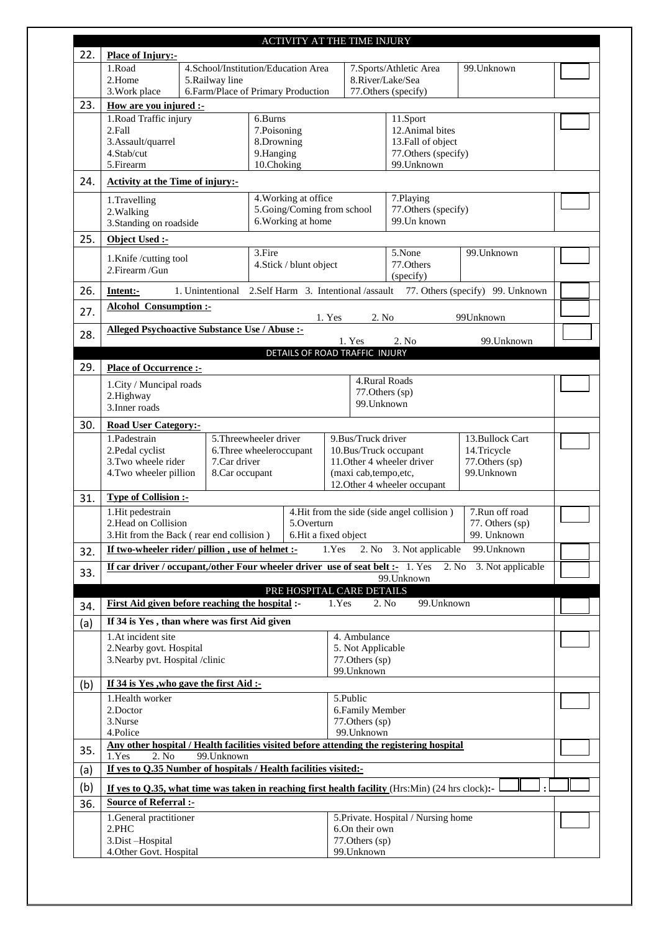|     |                                                                                                           |                                                                                                                                                                          | ACTIVITY AT THE TIME INJURY                          |                                              |                                            |                                  |  |  |
|-----|-----------------------------------------------------------------------------------------------------------|--------------------------------------------------------------------------------------------------------------------------------------------------------------------------|------------------------------------------------------|----------------------------------------------|--------------------------------------------|----------------------------------|--|--|
| 22. | <b>Place of Injury:-</b>                                                                                  |                                                                                                                                                                          |                                                      |                                              |                                            |                                  |  |  |
|     | 1.Road<br>2.Home                                                                                          | 5.Railway line                                                                                                                                                           | 4.School/Institution/Education Area                  |                                              | 7.Sports/Athletic Area<br>8.River/Lake/Sea | 99. Unknown                      |  |  |
|     | 3. Work place                                                                                             |                                                                                                                                                                          | 6.Farm/Place of Primary Production                   |                                              | 77. Others (specify)                       |                                  |  |  |
| 23. | How are you injured :-                                                                                    |                                                                                                                                                                          |                                                      |                                              |                                            |                                  |  |  |
|     | 1. Road Traffic injury                                                                                    |                                                                                                                                                                          | 6.Burns                                              |                                              | 11.Sport                                   |                                  |  |  |
|     | 2.Fall<br>3.Assault/quarrel                                                                               |                                                                                                                                                                          | 7.Poisoning<br>8.Drowning                            |                                              | 12. Animal bites<br>13.Fall of object      |                                  |  |  |
|     | 4.Stab/cut                                                                                                |                                                                                                                                                                          | 9.Hanging                                            |                                              |                                            |                                  |  |  |
|     | 77. Others (specify)<br>5.Firearm<br>10.Choking<br>99.Unknown                                             |                                                                                                                                                                          |                                                      |                                              |                                            |                                  |  |  |
| 24. | <b>Activity at the Time of injury:-</b>                                                                   |                                                                                                                                                                          |                                                      |                                              |                                            |                                  |  |  |
|     | 1.Travelling                                                                                              |                                                                                                                                                                          | 4. Working at office                                 |                                              | 7.Playing                                  |                                  |  |  |
|     | 2. Walking<br>3. Standing on roadside                                                                     |                                                                                                                                                                          | 5.Going/Coming from school<br>6. Working at home     |                                              | 77. Others (specify)<br>99. Un known       |                                  |  |  |
| 25. | Object Used :-                                                                                            |                                                                                                                                                                          |                                                      |                                              |                                            |                                  |  |  |
|     |                                                                                                           |                                                                                                                                                                          | 3.Fire                                               |                                              | 5.None                                     | 99. Unknown                      |  |  |
|     | 1.Knife/cutting tool<br>2. Firearm / Gun                                                                  |                                                                                                                                                                          | 4.Stick / blunt object                               |                                              | 77.Others                                  |                                  |  |  |
|     |                                                                                                           |                                                                                                                                                                          |                                                      |                                              | (specify)                                  |                                  |  |  |
| 26. | Intent:-                                                                                                  |                                                                                                                                                                          | 1. Unintentional 2.Self Harm 3. Intentional /assault |                                              |                                            | 77. Others (specify) 99. Unknown |  |  |
| 27. | <b>Alcohol Consumption:-</b>                                                                              |                                                                                                                                                                          |                                                      | 1. Yes<br>2. No                              |                                            | 99Unknown                        |  |  |
| 28. | Alleged Psychoactive Substance Use / Abuse :-                                                             |                                                                                                                                                                          |                                                      |                                              |                                            |                                  |  |  |
|     |                                                                                                           |                                                                                                                                                                          |                                                      | 1. Yes                                       | 2. No                                      | 99. Unknown                      |  |  |
| 29. | <b>Place of Occurrence :-</b>                                                                             |                                                                                                                                                                          | DETAILS OF ROAD TRAFFIC INJURY                       |                                              |                                            |                                  |  |  |
|     |                                                                                                           |                                                                                                                                                                          |                                                      | 4.Rural Roads                                |                                            |                                  |  |  |
|     | 1.City / Muncipal roads<br>77. Others (sp)<br>2.Highway                                                   |                                                                                                                                                                          |                                                      |                                              |                                            |                                  |  |  |
|     | 3. Inner roads                                                                                            |                                                                                                                                                                          |                                                      | 99. Unknown                                  |                                            |                                  |  |  |
| 30. | <b>Road User Category:-</b>                                                                               |                                                                                                                                                                          |                                                      |                                              |                                            |                                  |  |  |
|     | 1.Padestrain                                                                                              |                                                                                                                                                                          | 5. Threewheeler driver                               | 9. Bus/Truck driver<br>10.Bus/Truck occupant |                                            | 13. Bullock Cart<br>14.Tricycle  |  |  |
|     | 2.Pedal cyclist                                                                                           |                                                                                                                                                                          | 6. Three wheeleroccupant                             |                                              |                                            |                                  |  |  |
|     |                                                                                                           | 3. Two wheele rider<br>7.Car driver<br>11. Other 4 wheeler driver<br>77.Others (sp)<br>99. Unknown<br>4. Two wheeler pillion<br>8.Car occupant<br>(maxi cab, tempo, etc, |                                                      |                                              |                                            |                                  |  |  |
|     |                                                                                                           |                                                                                                                                                                          |                                                      |                                              | 12. Other 4 wheeler occupant               |                                  |  |  |
| 31. | <b>Type of Collision :-</b><br>1.Hit pedestrain                                                           |                                                                                                                                                                          |                                                      |                                              |                                            |                                  |  |  |
|     | 2. Head on Collision                                                                                      | 7.Run off road<br>4. Hit from the side (side angel collision)<br>5.Overturn<br>77. Others (sp)                                                                           |                                                      |                                              |                                            |                                  |  |  |
|     | 3. Hit from the Back (rear end collision)                                                                 |                                                                                                                                                                          |                                                      | 6. Hit a fixed object                        |                                            | 99. Unknown                      |  |  |
| 32. | If two-wheeler rider/ pillion, use of helmet :-                                                           |                                                                                                                                                                          |                                                      | 1.Yes                                        | 2. No 3. Not applicable                    | 99. Unknown                      |  |  |
| 33. | If car driver / occupant,/other Four wheeler driver use of seat belt :- 1. Yes<br>2. No 3. Not applicable |                                                                                                                                                                          |                                                      |                                              |                                            |                                  |  |  |
|     |                                                                                                           |                                                                                                                                                                          | PRE HOSPITAL CARE DETAILS                            |                                              | 99. Unknown                                |                                  |  |  |
| 34. | First Aid given before reaching the hospital :-                                                           |                                                                                                                                                                          |                                                      | 1.Yes                                        | 99. Unknown<br>2. No                       |                                  |  |  |
| (a) | If 34 is Yes, than where was first Aid given                                                              |                                                                                                                                                                          |                                                      |                                              |                                            |                                  |  |  |
|     | 1.At incident site<br>4. Ambulance                                                                        |                                                                                                                                                                          |                                                      |                                              |                                            |                                  |  |  |
|     | 2. Nearby govt. Hospital<br>5. Not Applicable                                                             |                                                                                                                                                                          |                                                      |                                              |                                            |                                  |  |  |
|     | 3. Nearby pvt. Hospital /clinic<br>77. Others (sp)<br>99. Unknown                                         |                                                                                                                                                                          |                                                      |                                              |                                            |                                  |  |  |
| (b) | If 34 is Yes, who gave the first Aid :-                                                                   |                                                                                                                                                                          |                                                      |                                              |                                            |                                  |  |  |
|     | 1. Health worker                                                                                          |                                                                                                                                                                          |                                                      | 5.Public                                     |                                            |                                  |  |  |
|     | 2.Doctor<br>6. Family Member<br>3.Nurse<br>77. Others (sp)                                                |                                                                                                                                                                          |                                                      |                                              |                                            |                                  |  |  |
|     | 4.Police                                                                                                  |                                                                                                                                                                          |                                                      | 99. Unknown                                  |                                            |                                  |  |  |
| 35. | Any other hospital / Health facilities visited before attending the registering hospital                  |                                                                                                                                                                          |                                                      |                                              |                                            |                                  |  |  |
|     | 1.Yes<br>2. No<br>99. Unknown<br>If yes to Q.35 Number of hospitals / Health facilities visited:-         |                                                                                                                                                                          |                                                      |                                              |                                            |                                  |  |  |
| (a) | If yes to $Q.35$ , what time was taken in reaching first health facility (Hrs:Min) (24 hrs clock):-       |                                                                                                                                                                          |                                                      |                                              |                                            |                                  |  |  |
| (b) |                                                                                                           |                                                                                                                                                                          |                                                      |                                              |                                            |                                  |  |  |
| 36. | <b>Source of Referral :-</b>                                                                              |                                                                                                                                                                          |                                                      |                                              |                                            |                                  |  |  |
|     | 1. General practitioner<br>2.PHC                                                                          |                                                                                                                                                                          |                                                      | 6.On their own                               | 5. Private. Hospital / Nursing home        |                                  |  |  |
|     | 3.Dist-Hospital                                                                                           |                                                                                                                                                                          |                                                      | 77. Others (sp)                              |                                            |                                  |  |  |
|     | 4. Other Govt. Hospital                                                                                   |                                                                                                                                                                          |                                                      | 99. Unknown                                  |                                            |                                  |  |  |